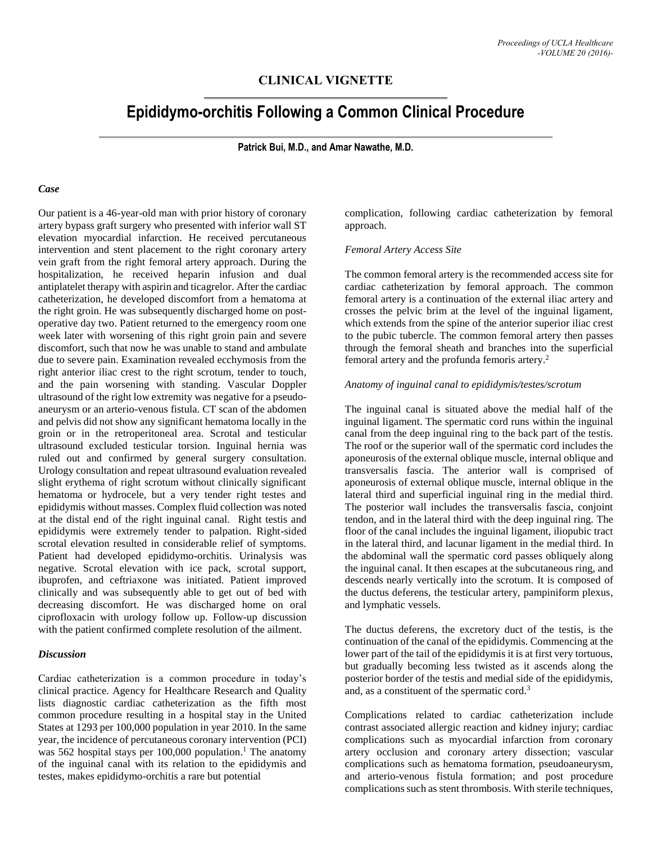## **CLINICAL VIGNETTE**

# **Epididymo-orchitis Following a Common Clinical Procedure**

**Patrick Bui, M.D., and Amar Nawathe, M.D.**

#### *Case*

Our patient is a 46-year-old man with prior history of coronary artery bypass graft surgery who presented with inferior wall ST elevation myocardial infarction. He received percutaneous intervention and stent placement to the right coronary artery vein graft from the right femoral artery approach. During the hospitalization, he received heparin infusion and dual antiplatelet therapy with aspirin and ticagrelor. After the cardiac catheterization, he developed discomfort from a hematoma at the right groin. He was subsequently discharged home on postoperative day two. Patient returned to the emergency room one week later with worsening of this right groin pain and severe discomfort, such that now he was unable to stand and ambulate due to severe pain. Examination revealed ecchymosis from the right anterior iliac crest to the right scrotum, tender to touch, and the pain worsening with standing. Vascular Doppler ultrasound of the right low extremity was negative for a pseudoaneurysm or an arterio-venous fistula. CT scan of the abdomen and pelvis did not show any significant hematoma locally in the groin or in the retroperitoneal area. Scrotal and testicular ultrasound excluded testicular torsion. Inguinal hernia was ruled out and confirmed by general surgery consultation. Urology consultation and repeat ultrasound evaluation revealed slight erythema of right scrotum without clinically significant hematoma or hydrocele, but a very tender right testes and epididymis without masses. Complex fluid collection was noted at the distal end of the right inguinal canal. Right testis and epididymis were extremely tender to palpation. Right-sided scrotal elevation resulted in considerable relief of symptoms. Patient had developed epididymo-orchitis. Urinalysis was negative. Scrotal elevation with ice pack, scrotal support, ibuprofen, and ceftriaxone was initiated. Patient improved clinically and was subsequently able to get out of bed with decreasing discomfort. He was discharged home on oral ciprofloxacin with urology follow up. Follow-up discussion with the patient confirmed complete resolution of the ailment.

#### *Discussion*

Cardiac catheterization is a common procedure in today's clinical practice. Agency for Healthcare Research and Quality lists diagnostic cardiac catheterization as the fifth most common procedure resulting in a hospital stay in the United States at 1293 per 100,000 population in year 2010. In the same year, the incidence of percutaneous coronary intervention (PCI) was 562 hospital stays per 100,000 population. <sup>1</sup> The anatomy of the inguinal canal with its relation to the epididymis and testes, makes epididymo-orchitis a rare but potential

complication, following cardiac catheterization by femoral approach.

*Femoral Artery Access Site*

The common femoral artery is the recommended access site for cardiac catheterization by femoral approach. The common femoral artery is a continuation of the external iliac artery and crosses the pelvic brim at the level of the inguinal ligament, which extends from the spine of the anterior superior iliac crest to the pubic tubercle. The common femoral artery then passes through the femoral sheath and branches into the superficial femoral artery and the profunda femoris artery. 2

#### *Anatomy of inguinal canal to epididymis/testes/scrotum*

The inguinal canal is situated above the medial half of the inguinal ligament. The spermatic cord runs within the inguinal canal from the deep inguinal ring to the back part of the testis. The roof or the superior wall of the spermatic cord includes the aponeurosis of the external oblique muscle, internal oblique and transversalis fascia. The anterior wall is comprised of aponeurosis of external oblique muscle, internal oblique in the lateral third and superficial inguinal ring in the medial third. The posterior wall includes the transversalis fascia, conjoint tendon, and in the lateral third with the deep inguinal ring. The floor of the canal includes the inguinal ligament, iliopubic tract in the lateral third, and lacunar ligament in the medial third. In the abdominal wall the spermatic cord passes obliquely along the inguinal canal. It then escapes at the subcutaneous ring, and descends nearly vertically into the scrotum. It is composed of the ductus deferens, the testicular artery, pampiniform plexus, and lymphatic vessels.

The ductus deferens, the excretory duct of the testis, is the continuation of the canal of the epididymis. Commencing at the lower part of the tail of the epididymis it is at first very tortuous, but gradually becoming less twisted as it ascends along the posterior border of the testis and medial side of the epididymis, and, as a constituent of the spermatic cord. 3

Complications related to cardiac catheterization include contrast associated allergic reaction and kidney injury; cardiac complications such as myocardial infarction from coronary artery occlusion and coronary artery dissection; vascular complications such as hematoma formation, pseudoaneurysm, and arterio-venous fistula formation; and post procedure complications such as stent thrombosis. With sterile techniques,